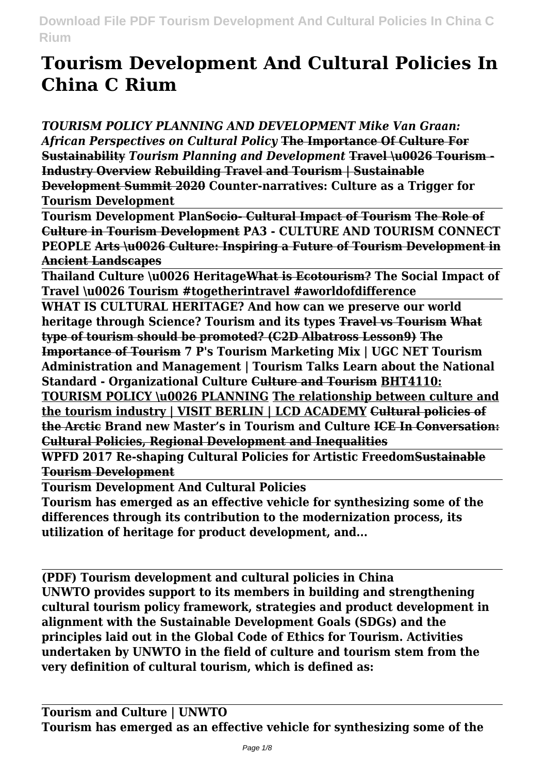# **Tourism Development And Cultural Policies In China C Rium**

*TOURISM POLICY PLANNING AND DEVELOPMENT Mike Van Graan: African Perspectives on Cultural Policy* **The Importance Of Culture For Sustainability** *Tourism Planning and Development* **Travel \u0026 Tourism - Industry Overview Rebuilding Travel and Tourism | Sustainable Development Summit 2020 Counter-narratives: Culture as a Trigger for Tourism Development**

**Tourism Development PlanSocio- Cultural Impact of Tourism The Role of Culture in Tourism Development PA3 - CULTURE AND TOURISM CONNECT PEOPLE Arts \u0026 Culture: Inspiring a Future of Tourism Development in Ancient Landscapes**

**Thailand Culture \u0026 HeritageWhat is Ecotourism? The Social Impact of Travel \u0026 Tourism #togetherintravel #aworldofdifference**

**WHAT IS CULTURAL HERITAGE? And how can we preserve our world heritage through Science? Tourism and its types Travel vs Tourism What type of tourism should be promoted? (C2D Albatross Lesson9) The Importance of Tourism 7 P's Tourism Marketing Mix | UGC NET Tourism Administration and Management | Tourism Talks Learn about the National Standard - Organizational Culture Culture and Tourism BHT4110:**

**TOURISM POLICY \u0026 PLANNING The relationship between culture and the tourism industry | VISIT BERLIN | LCD ACADEMY Cultural policies of the Arctic Brand new Master's in Tourism and Culture ICE In Conversation: Cultural Policies, Regional Development and Inequalities**

**WPFD 2017 Re-shaping Cultural Policies for Artistic FreedomSustainable Tourism Development**

**Tourism Development And Cultural Policies**

**Tourism has emerged as an effective vehicle for synthesizing some of the differences through its contribution to the modernization process, its utilization of heritage for product development, and...**

**(PDF) Tourism development and cultural policies in China UNWTO provides support to its members in building and strengthening cultural tourism policy framework, strategies and product development in alignment with the Sustainable Development Goals (SDGs) and the principles laid out in the Global Code of Ethics for Tourism. Activities undertaken by UNWTO in the field of culture and tourism stem from the very definition of cultural tourism, which is defined as:**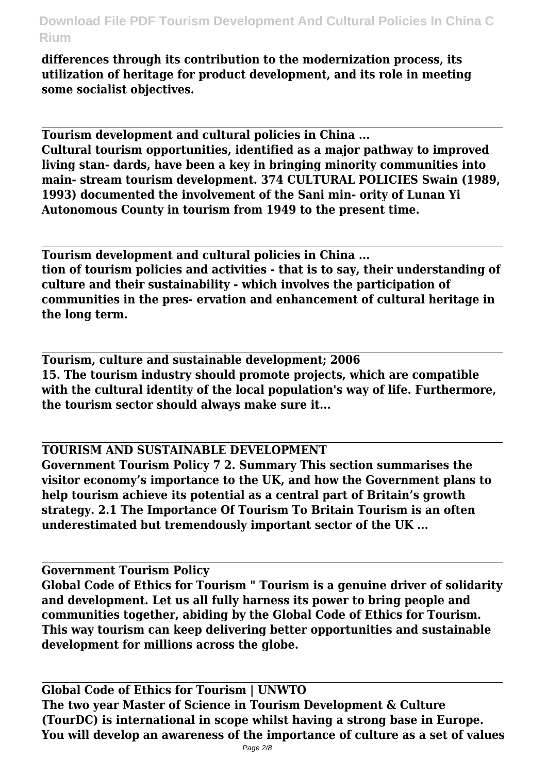**differences through its contribution to the modernization process, its utilization of heritage for product development, and its role in meeting some socialist objectives.**

**Tourism development and cultural policies in China ... Cultural tourism opportunities, identified as a major pathway to improved living stan- dards, have been a key in bringing minority communities into main- stream tourism development. 374 CULTURAL POLICIES Swain (1989, 1993) documented the involvement of the Sani min- ority of Lunan Yi Autonomous County in tourism from 1949 to the present time.**

**Tourism development and cultural policies in China ... tion of tourism policies and activities - that is to say, their understanding of culture and their sustainability - which involves the participation of communities in the pres- ervation and enhancement of cultural heritage in the long term.**

**Tourism, culture and sustainable development; 2006 15. The tourism industry should promote projects, which are compatible with the cultural identity of the local population's way of life. Furthermore, the tourism sector should always make sure it...**

**TOURISM AND SUSTAINABLE DEVELOPMENT**

**Government Tourism Policy 7 2. Summary This section summarises the visitor economy's importance to the UK, and how the Government plans to help tourism achieve its potential as a central part of Britain's growth strategy. 2.1 The Importance Of Tourism To Britain Tourism is an often underestimated but tremendously important sector of the UK ...**

**Government Tourism Policy**

**Global Code of Ethics for Tourism " Tourism is a genuine driver of solidarity and development. Let us all fully harness its power to bring people and communities together, abiding by the Global Code of Ethics for Tourism. This way tourism can keep delivering better opportunities and sustainable development for millions across the globe.**

**Global Code of Ethics for Tourism | UNWTO The two year Master of Science in Tourism Development & Culture (TourDC) is international in scope whilst having a strong base in Europe. You will develop an awareness of the importance of culture as a set of values**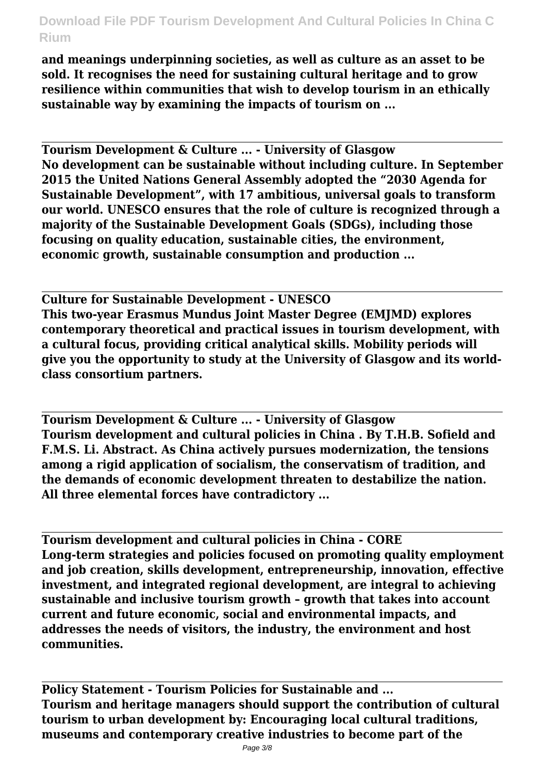**and meanings underpinning societies, as well as culture as an asset to be sold. It recognises the need for sustaining cultural heritage and to grow resilience within communities that wish to develop tourism in an ethically sustainable way by examining the impacts of tourism on ...**

**Tourism Development & Culture ... - University of Glasgow No development can be sustainable without including culture. In September 2015 the United Nations General Assembly adopted the "2030 Agenda for Sustainable Development", with 17 ambitious, universal goals to transform our world. UNESCO ensures that the role of culture is recognized through a majority of the Sustainable Development Goals (SDGs), including those focusing on quality education, sustainable cities, the environment, economic growth, sustainable consumption and production ...**

**Culture for Sustainable Development - UNESCO This two-year Erasmus Mundus Joint Master Degree (EMJMD) explores contemporary theoretical and practical issues in tourism development, with a cultural focus, providing critical analytical skills. Mobility periods will give you the opportunity to study at the University of Glasgow and its worldclass consortium partners.**

**Tourism Development & Culture ... - University of Glasgow Tourism development and cultural policies in China . By T.H.B. Sofield and F.M.S. Li. Abstract. As China actively pursues modernization, the tensions among a rigid application of socialism, the conservatism of tradition, and the demands of economic development threaten to destabilize the nation. All three elemental forces have contradictory ...**

**Tourism development and cultural policies in China - CORE Long-term strategies and policies focused on promoting quality employment and job creation, skills development, entrepreneurship, innovation, effective investment, and integrated regional development, are integral to achieving sustainable and inclusive tourism growth – growth that takes into account current and future economic, social and environmental impacts, and addresses the needs of visitors, the industry, the environment and host communities.**

**Policy Statement - Tourism Policies for Sustainable and ... Tourism and heritage managers should support the contribution of cultural tourism to urban development by: Encouraging local cultural traditions, museums and contemporary creative industries to become part of the**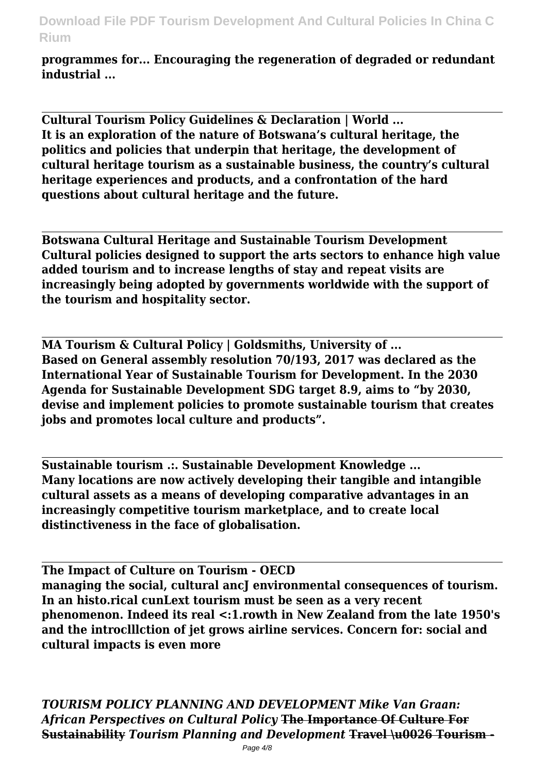**programmes for... Encouraging the regeneration of degraded or redundant industrial ...**

**Cultural Tourism Policy Guidelines & Declaration | World ... It is an exploration of the nature of Botswana's cultural heritage, the politics and policies that underpin that heritage, the development of cultural heritage tourism as a sustainable business, the country's cultural heritage experiences and products, and a confrontation of the hard questions about cultural heritage and the future.**

**Botswana Cultural Heritage and Sustainable Tourism Development Cultural policies designed to support the arts sectors to enhance high value added tourism and to increase lengths of stay and repeat visits are increasingly being adopted by governments worldwide with the support of the tourism and hospitality sector.**

**MA Tourism & Cultural Policy | Goldsmiths, University of ... Based on General assembly resolution 70/193, 2017 was declared as the International Year of Sustainable Tourism for Development. In the 2030 Agenda for Sustainable Development SDG target 8.9, aims to "by 2030, devise and implement policies to promote sustainable tourism that creates jobs and promotes local culture and products".**

**Sustainable tourism .:. Sustainable Development Knowledge ... Many locations are now actively developing their tangible and intangible cultural assets as a means of developing comparative advantages in an increasingly competitive tourism marketplace, and to create local distinctiveness in the face of globalisation.**

**The Impact of Culture on Tourism - OECD** managing the social, cultural ancJ environmental consequences of tourism. **In an histo.rical cunLext tourism must be seen as a very recent phenomenon. Indeed its real <:1.rowth in New Zealand from the late 1950's and the introclllction of jet grows airline services. Concern for: social and cultural impacts is even more**

*TOURISM POLICY PLANNING AND DEVELOPMENT Mike Van Graan: African Perspectives on Cultural Policy* **The Importance Of Culture For Sustainability** *Tourism Planning and Development* **Travel \u0026 Tourism -**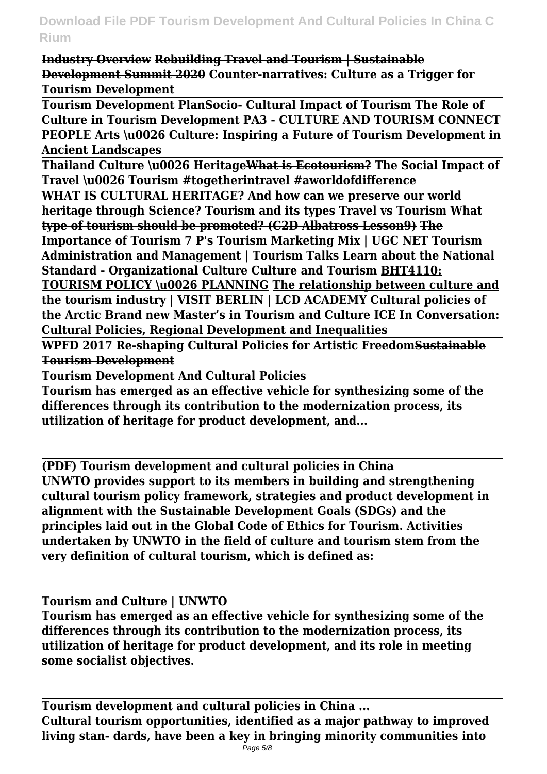**Industry Overview Rebuilding Travel and Tourism | Sustainable Development Summit 2020 Counter-narratives: Culture as a Trigger for Tourism Development**

**Tourism Development PlanSocio- Cultural Impact of Tourism The Role of Culture in Tourism Development PA3 - CULTURE AND TOURISM CONNECT PEOPLE Arts \u0026 Culture: Inspiring a Future of Tourism Development in Ancient Landscapes**

**Thailand Culture \u0026 HeritageWhat is Ecotourism? The Social Impact of Travel \u0026 Tourism #togetherintravel #aworldofdifference**

**WHAT IS CULTURAL HERITAGE? And how can we preserve our world heritage through Science? Tourism and its types Travel vs Tourism What type of tourism should be promoted? (C2D Albatross Lesson9) The Importance of Tourism 7 P's Tourism Marketing Mix | UGC NET Tourism Administration and Management | Tourism Talks Learn about the National Standard - Organizational Culture Culture and Tourism BHT4110: TOURISM POLICY \u0026 PLANNING The relationship between culture and the tourism industry | VISIT BERLIN | LCD ACADEMY Cultural policies of the Arctic Brand new Master's in Tourism and Culture ICE In Conversation: Cultural Policies, Regional Development and Inequalities**

**WPFD 2017 Re-shaping Cultural Policies for Artistic FreedomSustainable Tourism Development**

**Tourism Development And Cultural Policies**

**Tourism has emerged as an effective vehicle for synthesizing some of the differences through its contribution to the modernization process, its utilization of heritage for product development, and...**

**(PDF) Tourism development and cultural policies in China UNWTO provides support to its members in building and strengthening cultural tourism policy framework, strategies and product development in alignment with the Sustainable Development Goals (SDGs) and the principles laid out in the Global Code of Ethics for Tourism. Activities undertaken by UNWTO in the field of culture and tourism stem from the very definition of cultural tourism, which is defined as:**

**Tourism and Culture | UNWTO**

**Tourism has emerged as an effective vehicle for synthesizing some of the differences through its contribution to the modernization process, its utilization of heritage for product development, and its role in meeting some socialist objectives.**

**Tourism development and cultural policies in China ... Cultural tourism opportunities, identified as a major pathway to improved living stan- dards, have been a key in bringing minority communities into**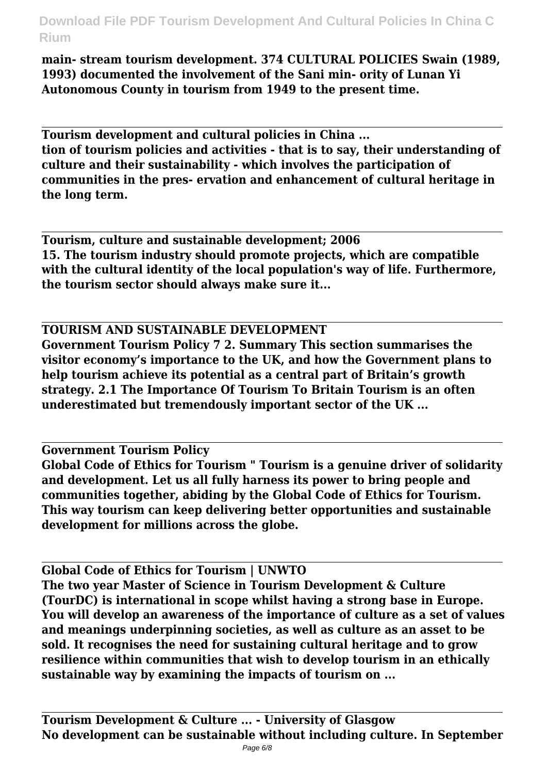**main- stream tourism development. 374 CULTURAL POLICIES Swain (1989, 1993) documented the involvement of the Sani min- ority of Lunan Yi Autonomous County in tourism from 1949 to the present time.**

**Tourism development and cultural policies in China ... tion of tourism policies and activities - that is to say, their understanding of culture and their sustainability - which involves the participation of communities in the pres- ervation and enhancement of cultural heritage in the long term.**

**Tourism, culture and sustainable development; 2006 15. The tourism industry should promote projects, which are compatible with the cultural identity of the local population's way of life. Furthermore, the tourism sector should always make sure it...**

### **TOURISM AND SUSTAINABLE DEVELOPMENT**

**Government Tourism Policy 7 2. Summary This section summarises the visitor economy's importance to the UK, and how the Government plans to help tourism achieve its potential as a central part of Britain's growth strategy. 2.1 The Importance Of Tourism To Britain Tourism is an often underestimated but tremendously important sector of the UK ...**

#### **Government Tourism Policy**

**Global Code of Ethics for Tourism " Tourism is a genuine driver of solidarity and development. Let us all fully harness its power to bring people and communities together, abiding by the Global Code of Ethics for Tourism. This way tourism can keep delivering better opportunities and sustainable development for millions across the globe.**

**Global Code of Ethics for Tourism | UNWTO The two year Master of Science in Tourism Development & Culture (TourDC) is international in scope whilst having a strong base in Europe. You will develop an awareness of the importance of culture as a set of values and meanings underpinning societies, as well as culture as an asset to be sold. It recognises the need for sustaining cultural heritage and to grow resilience within communities that wish to develop tourism in an ethically sustainable way by examining the impacts of tourism on ...**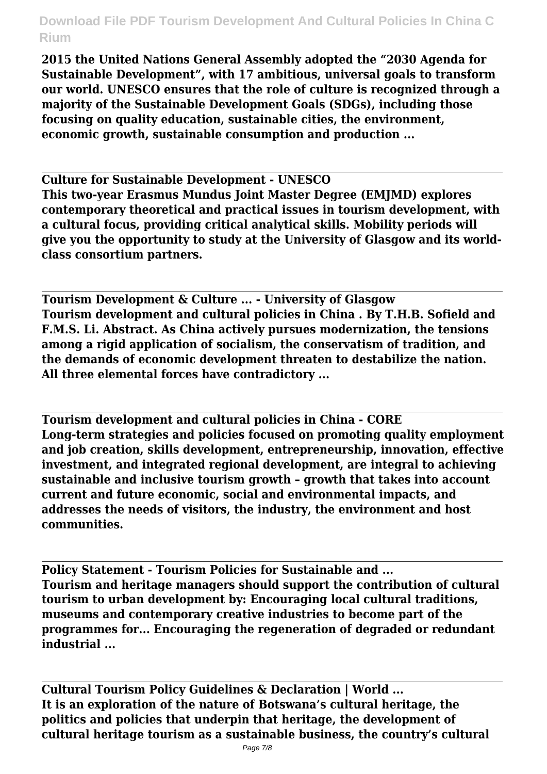**2015 the United Nations General Assembly adopted the "2030 Agenda for Sustainable Development", with 17 ambitious, universal goals to transform our world. UNESCO ensures that the role of culture is recognized through a majority of the Sustainable Development Goals (SDGs), including those focusing on quality education, sustainable cities, the environment, economic growth, sustainable consumption and production ...**

**Culture for Sustainable Development - UNESCO This two-year Erasmus Mundus Joint Master Degree (EMJMD) explores contemporary theoretical and practical issues in tourism development, with a cultural focus, providing critical analytical skills. Mobility periods will give you the opportunity to study at the University of Glasgow and its worldclass consortium partners.**

**Tourism Development & Culture ... - University of Glasgow Tourism development and cultural policies in China . By T.H.B. Sofield and F.M.S. Li. Abstract. As China actively pursues modernization, the tensions among a rigid application of socialism, the conservatism of tradition, and the demands of economic development threaten to destabilize the nation. All three elemental forces have contradictory ...**

**Tourism development and cultural policies in China - CORE Long-term strategies and policies focused on promoting quality employment and job creation, skills development, entrepreneurship, innovation, effective investment, and integrated regional development, are integral to achieving sustainable and inclusive tourism growth – growth that takes into account current and future economic, social and environmental impacts, and addresses the needs of visitors, the industry, the environment and host communities.**

**Policy Statement - Tourism Policies for Sustainable and ... Tourism and heritage managers should support the contribution of cultural tourism to urban development by: Encouraging local cultural traditions, museums and contemporary creative industries to become part of the programmes for... Encouraging the regeneration of degraded or redundant industrial ...**

**Cultural Tourism Policy Guidelines & Declaration | World ... It is an exploration of the nature of Botswana's cultural heritage, the politics and policies that underpin that heritage, the development of cultural heritage tourism as a sustainable business, the country's cultural**